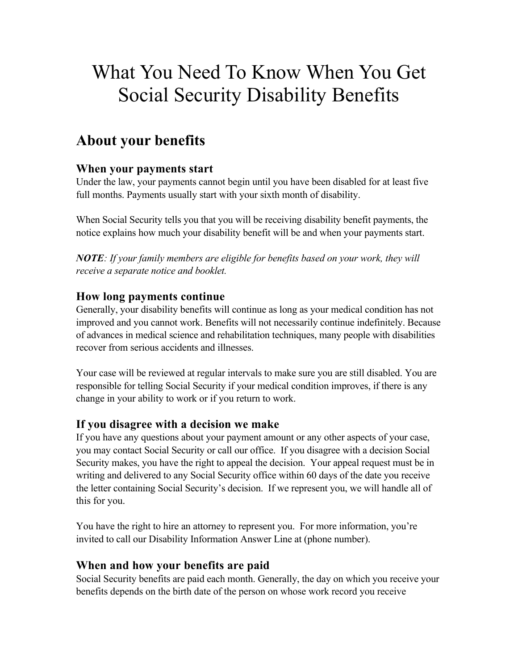# What You Need To Know When You Get Social Security Disability Benefits

## **About your benefits**

### **When your payments start**

Under the law, your payments cannot begin until you have been disabled for at least five full months. Payments usually start with your sixth month of disability.

When Social Security tells you that you will be receiving disability benefit payments, the notice explains how much your disability benefit will be and when your payments start.

*NOTE: If your family members are eligible for benefits based on your work, they will receive a separate notice and booklet.*

### **How long payments continue**

Generally, your disability benefits will continue as long as your medical condition has not improved and you cannot work. Benefits will not necessarily continue indefinitely. Because of advances in medical science and rehabilitation techniques, many people with disabilities recover from serious accidents and illnesses.

Your case will be reviewed at regular intervals to make sure you are still disabled. You are responsible for telling Social Security if your medical condition improves, if there is any change in your ability to work or if you return to work.

### **If you disagree with a decision we make**

If you have any questions about your payment amount or any other aspects of your case, you may contact Social Security or call our office. If you disagree with a decision Social Security makes, you have the right to appeal the decision. Your appeal request must be in writing and delivered to any Social Security office within 60 days of the date you receive the letter containing Social Security's decision. If we represent you, we will handle all of this for you.

You have the right to hire an attorney to represent you. For more information, you're invited to call our Disability Information Answer Line at (phone number).

### **When and how your benefits are paid**

Social Security benefits are paid each month. Generally, the day on which you receive your benefits depends on the birth date of the person on whose work record you receive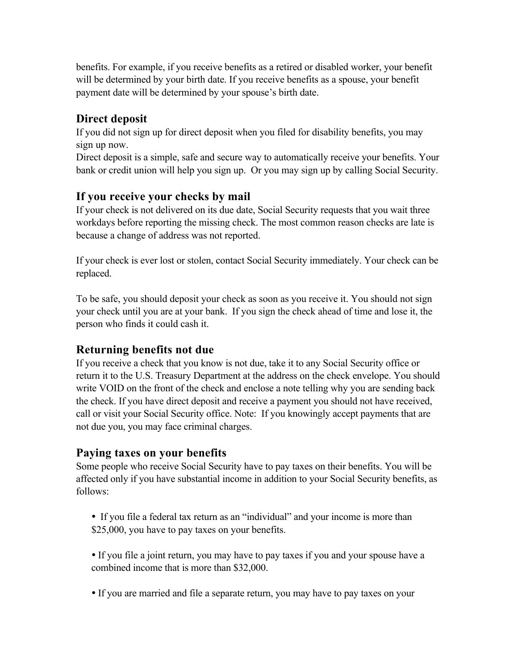benefits. For example, if you receive benefits as a retired or disabled worker, your benefit will be determined by your birth date. If you receive benefits as a spouse, your benefit payment date will be determined by your spouse's birth date.

### **Direct deposit**

If you did not sign up for direct deposit when you filed for disability benefits, you may sign up now.

Direct deposit is a simple, safe and secure way to automatically receive your benefits. Your bank or credit union will help you sign up. Or you may sign up by calling Social Security.

### **If you receive your checks by mail**

If your check is not delivered on its due date, Social Security requests that you wait three workdays before reporting the missing check. The most common reason checks are late is because a change of address was not reported.

If your check is ever lost or stolen, contact Social Security immediately. Your check can be replaced.

To be safe, you should deposit your check as soon as you receive it. You should not sign your check until you are at your bank. If you sign the check ahead of time and lose it, the person who finds it could cash it.

### **Returning benefits not due**

If you receive a check that you know is not due, take it to any Social Security office or return it to the U.S. Treasury Department at the address on the check envelope. You should write VOID on the front of the check and enclose a note telling why you are sending back the check. If you have direct deposit and receive a payment you should not have received, call or visit your Social Security office. Note: If you knowingly accept payments that are not due you, you may face criminal charges.

### **Paying taxes on your benefits**

Some people who receive Social Security have to pay taxes on their benefits. You will be affected only if you have substantial income in addition to your Social Security benefits, as follows:

 If you file a federal tax return as an "individual" and your income is more than \$25,000, you have to pay taxes on your benefits.

 If you file a joint return, you may have to pay taxes if you and your spouse have a combined income that is more than \$32,000.

If you are married and file a separate return, you may have to pay taxes on your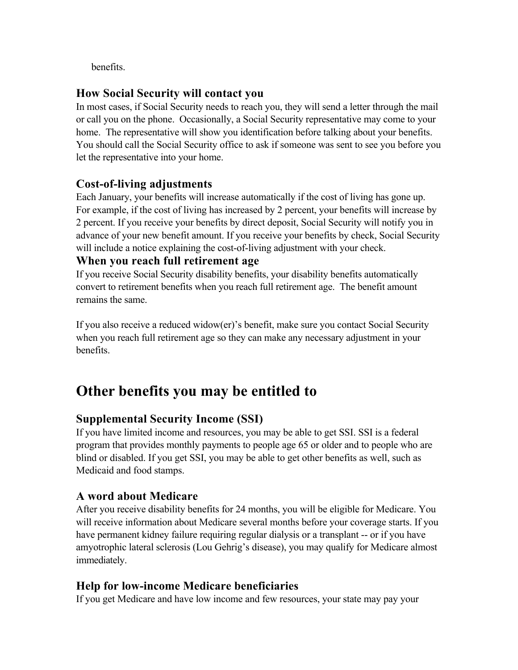benefits.

### **How Social Security will contact you**

In most cases, if Social Security needs to reach you, they will send a letter through the mail or call you on the phone. Occasionally, a Social Security representative may come to your home. The representative will show you identification before talking about your benefits. You should call the Social Security office to ask if someone was sent to see you before you let the representative into your home.

### **Cost-of-living adjustments**

Each January, your benefits will increase automatically if the cost of living has gone up. For example, if the cost of living has increased by 2 percent, your benefits will increase by 2 percent. If you receive your benefits by direct deposit, Social Security will notify you in advance of your new benefit amount. If you receive your benefits by check, Social Security will include a notice explaining the cost-of-living adjustment with your check.

### **When you reach full retirement age**

If you receive Social Security disability benefits, your disability benefits automatically convert to retirement benefits when you reach full retirement age. The benefit amount remains the same.

If you also receive a reduced widow(er)'s benefit, make sure you contact Social Security when you reach full retirement age so they can make any necessary adjustment in your benefits.

## **Other benefits you may be entitled to**

### **Supplemental Security Income (SSI)**

If you have limited income and resources, you may be able to get SSI. SSI is a federal program that provides monthly payments to people age 65 or older and to people who are blind or disabled. If you get SSI, you may be able to get other benefits as well, such as Medicaid and food stamps.

### **A word about Medicare**

After you receive disability benefits for 24 months, you will be eligible for Medicare. You will receive information about Medicare several months before your coverage starts. If you have permanent kidney failure requiring regular dialysis or a transplant -- or if you have amyotrophic lateral sclerosis (Lou Gehrig's disease), you may qualify for Medicare almost immediately.

### **Help for low-income Medicare beneficiaries**

If you get Medicare and have low income and few resources, your state may pay your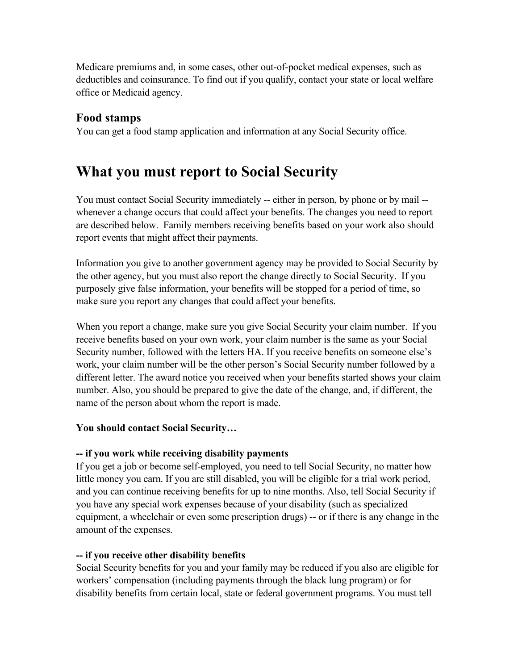Medicare premiums and, in some cases, other out-of-pocket medical expenses, such as deductibles and coinsurance. To find out if you qualify, contact your state or local welfare office or Medicaid agency.

### **Food stamps**

You can get a food stamp application and information at any Social Security office.

## **What you must report to Social Security**

You must contact Social Security immediately -- either in person, by phone or by mail - whenever a change occurs that could affect your benefits. The changes you need to report are described below. Family members receiving benefits based on your work also should report events that might affect their payments.

Information you give to another government agency may be provided to Social Security by the other agency, but you must also report the change directly to Social Security. If you purposely give false information, your benefits will be stopped for a period of time, so make sure you report any changes that could affect your benefits.

When you report a change, make sure you give Social Security your claim number. If you receive benefits based on your own work, your claim number is the same as your Social Security number, followed with the letters HA. If you receive benefits on someone else's work, your claim number will be the other person's Social Security number followed by a different letter. The award notice you received when your benefits started shows your claim number. Also, you should be prepared to give the date of the change, and, if different, the name of the person about whom the report is made.

#### **You should contact Social Security…**

#### **-- if you work while receiving disability payments**

If you get a job or become self-employed, you need to tell Social Security, no matter how little money you earn. If you are still disabled, you will be eligible for a trial work period, and you can continue receiving benefits for up to nine months. Also, tell Social Security if you have any special work expenses because of your disability (such as specialized equipment, a wheelchair or even some prescription drugs) -- or if there is any change in the amount of the expenses.

#### **-- if you receive other disability benefits**

Social Security benefits for you and your family may be reduced if you also are eligible for workers' compensation (including payments through the black lung program) or for disability benefits from certain local, state or federal government programs. You must tell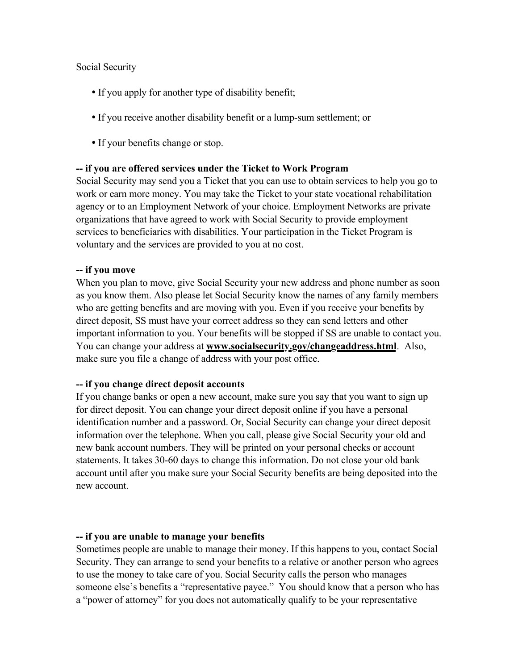Social Security

- If you apply for another type of disability benefit;
- If you receive another disability benefit or a lump-sum settlement; or
- If your benefits change or stop.

#### **-- if you are offered services under the Ticket to Work Program**

Social Security may send you a Ticket that you can use to obtain services to help you go to work or earn more money. You may take the Ticket to your state vocational rehabilitation agency or to an Employment Network of your choice. Employment Networks are private organizations that have agreed to work with Social Security to provide employment services to beneficiaries with disabilities. Your participation in the Ticket Program is voluntary and the services are provided to you at no cost.

#### **-- if you move**

When you plan to move, give Social Security your new address and phone number as soon as you know them. Also please let Social Security know the names of any family members who are getting benefits and are moving with you. Even if you receive your benefits by direct deposit, SS must have your correct address so they can send letters and other important information to you. Your benefits will be stopped if SS are unable to contact you. You can change your address at **www.socialsecurity.gov/changeaddress.html**. Also, make sure you file a change of address with your post office.

#### **-- if you change direct deposit accounts**

If you change banks or open a new account, make sure you say that you want to sign up for direct deposit. You can change your direct deposit online if you have a personal identification number and a password. Or, Social Security can change your direct deposit information over the telephone. When you call, please give Social Security your old and new bank account numbers. They will be printed on your personal checks or account statements. It takes 30-60 days to change this information. Do not close your old bank account until after you make sure your Social Security benefits are being deposited into the new account.

#### **-- if you are unable to manage your benefits**

Sometimes people are unable to manage their money. If this happens to you, contact Social Security. They can arrange to send your benefits to a relative or another person who agrees to use the money to take care of you. Social Security calls the person who manages someone else's benefits a "representative payee." You should know that a person who has a "power of attorney" for you does not automatically qualify to be your representative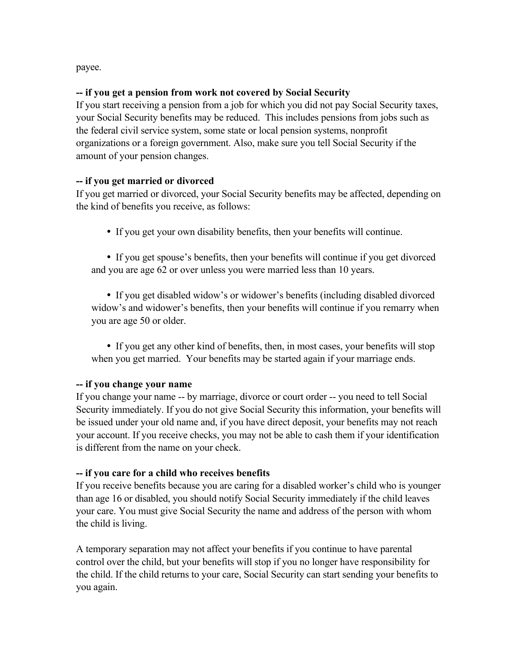payee.

#### **-- if you get a pension from work not covered by Social Security**

If you start receiving a pension from a job for which you did not pay Social Security taxes, your Social Security benefits may be reduced. This includes pensions from jobs such as the federal civil service system, some state or local pension systems, nonprofit organizations or a foreign government. Also, make sure you tell Social Security if the amount of your pension changes.

#### **-- if you get married or divorced**

If you get married or divorced, your Social Security benefits may be affected, depending on the kind of benefits you receive, as follows:

If you get your own disability benefits, then your benefits will continue.

 If you get spouse's benefits, then your benefits will continue if you get divorced and you are age 62 or over unless you were married less than 10 years.

 If you get disabled widow's or widower's benefits (including disabled divorced widow's and widower's benefits, then your benefits will continue if you remarry when you are age 50 or older.

 If you get any other kind of benefits, then, in most cases, your benefits will stop when you get married. Your benefits may be started again if your marriage ends.

#### **-- if you change your name**

If you change your name -- by marriage, divorce or court order -- you need to tell Social Security immediately. If you do not give Social Security this information, your benefits will be issued under your old name and, if you have direct deposit, your benefits may not reach your account. If you receive checks, you may not be able to cash them if your identification is different from the name on your check.

#### **-- if you care for a child who receives benefits**

If you receive benefits because you are caring for a disabled worker's child who is younger than age 16 or disabled, you should notify Social Security immediately if the child leaves your care. You must give Social Security the name and address of the person with whom the child is living.

A temporary separation may not affect your benefits if you continue to have parental control over the child, but your benefits will stop if you no longer have responsibility for the child. If the child returns to your care, Social Security can start sending your benefits to you again.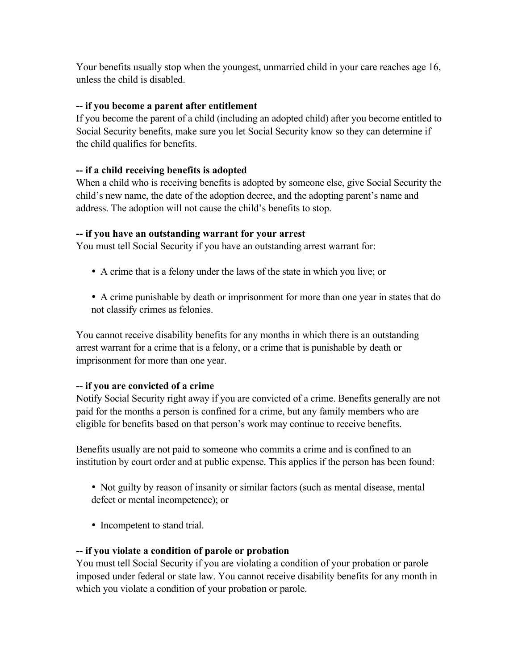Your benefits usually stop when the youngest, unmarried child in your care reaches age 16, unless the child is disabled.

#### **-- if you become a parent after entitlement**

If you become the parent of a child (including an adopted child) after you become entitled to Social Security benefits, make sure you let Social Security know so they can determine if the child qualifies for benefits.

#### **-- if a child receiving benefits is adopted**

When a child who is receiving benefits is adopted by someone else, give Social Security the child's new name, the date of the adoption decree, and the adopting parent's name and address. The adoption will not cause the child's benefits to stop.

#### **-- if you have an outstanding warrant for your arrest**

You must tell Social Security if you have an outstanding arrest warrant for:

- A crime that is a felony under the laws of the state in which you live; or
- A crime punishable by death or imprisonment for more than one year in states that do not classify crimes as felonies.

You cannot receive disability benefits for any months in which there is an outstanding arrest warrant for a crime that is a felony, or a crime that is punishable by death or imprisonment for more than one year.

#### **-- if you are convicted of a crime**

Notify Social Security right away if you are convicted of a crime. Benefits generally are not paid for the months a person is confined for a crime, but any family members who are eligible for benefits based on that person's work may continue to receive benefits.

Benefits usually are not paid to someone who commits a crime and is confined to an institution by court order and at public expense. This applies if the person has been found:

- Not guilty by reason of insanity or similar factors (such as mental disease, mental defect or mental incompetence); or
- Incompetent to stand trial.

#### **-- if you violate a condition of parole or probation**

You must tell Social Security if you are violating a condition of your probation or parole imposed under federal or state law. You cannot receive disability benefits for any month in which you violate a condition of your probation or parole.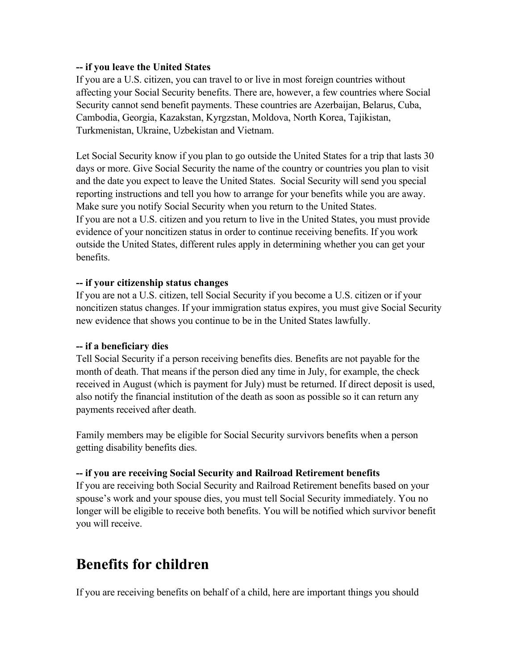#### **-- if you leave the United States**

If you are a U.S. citizen, you can travel to or live in most foreign countries without affecting your Social Security benefits. There are, however, a few countries where Social Security cannot send benefit payments. These countries are Azerbaijan, Belarus, Cuba, Cambodia, Georgia, Kazakstan, Kyrgzstan, Moldova, North Korea, Tajikistan, Turkmenistan, Ukraine, Uzbekistan and Vietnam.

Let Social Security know if you plan to go outside the United States for a trip that lasts 30 days or more. Give Social Security the name of the country or countries you plan to visit and the date you expect to leave the United States. Social Security will send you special reporting instructions and tell you how to arrange for your benefits while you are away. Make sure you notify Social Security when you return to the United States. If you are not a U.S. citizen and you return to live in the United States, you must provide evidence of your noncitizen status in order to continue receiving benefits. If you work outside the United States, different rules apply in determining whether you can get your benefits.

#### **-- if your citizenship status changes**

If you are not a U.S. citizen, tell Social Security if you become a U.S. citizen or if your noncitizen status changes. If your immigration status expires, you must give Social Security new evidence that shows you continue to be in the United States lawfully.

#### **-- if a beneficiary dies**

Tell Social Security if a person receiving benefits dies. Benefits are not payable for the month of death. That means if the person died any time in July, for example, the check received in August (which is payment for July) must be returned. If direct deposit is used, also notify the financial institution of the death as soon as possible so it can return any payments received after death.

Family members may be eligible for Social Security survivors benefits when a person getting disability benefits dies.

#### **-- if you are receiving Social Security and Railroad Retirement benefits**

If you are receiving both Social Security and Railroad Retirement benefits based on your spouse's work and your spouse dies, you must tell Social Security immediately. You no longer will be eligible to receive both benefits. You will be notified which survivor benefit you will receive.

## **Benefits for children**

If you are receiving benefits on behalf of a child, here are important things you should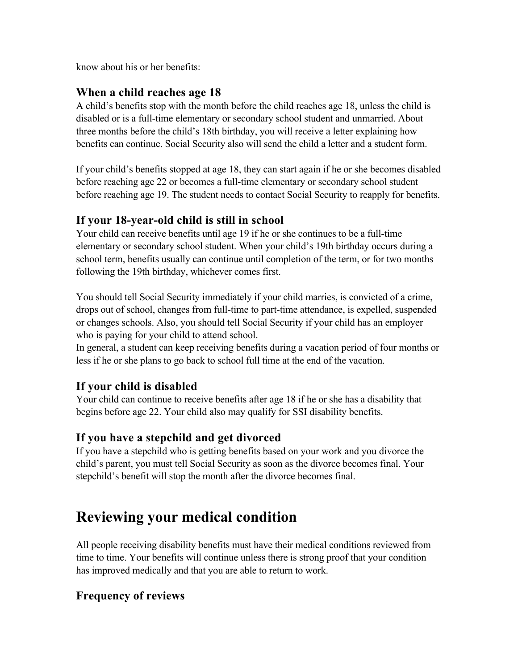know about his or her benefits:

### **When a child reaches age 18**

A child's benefits stop with the month before the child reaches age 18, unless the child is disabled or is a full-time elementary or secondary school student and unmarried. About three months before the child's 18th birthday, you will receive a letter explaining how benefits can continue. Social Security also will send the child a letter and a student form.

If your child's benefits stopped at age 18, they can start again if he or she becomes disabled before reaching age 22 or becomes a full-time elementary or secondary school student before reaching age 19. The student needs to contact Social Security to reapply for benefits.

### **If your 18-year-old child is still in school**

Your child can receive benefits until age 19 if he or she continues to be a full-time elementary or secondary school student. When your child's 19th birthday occurs during a school term, benefits usually can continue until completion of the term, or for two months following the 19th birthday, whichever comes first.

You should tell Social Security immediately if your child marries, is convicted of a crime, drops out of school, changes from full-time to part-time attendance, is expelled, suspended or changes schools. Also, you should tell Social Security if your child has an employer who is paying for your child to attend school.

In general, a student can keep receiving benefits during a vacation period of four months or less if he or she plans to go back to school full time at the end of the vacation.

### **If your child is disabled**

Your child can continue to receive benefits after age 18 if he or she has a disability that begins before age 22. Your child also may qualify for SSI disability benefits.

### **If you have a stepchild and get divorced**

If you have a stepchild who is getting benefits based on your work and you divorce the child's parent, you must tell Social Security as soon as the divorce becomes final. Your stepchild's benefit will stop the month after the divorce becomes final.

## **Reviewing your medical condition**

All people receiving disability benefits must have their medical conditions reviewed from time to time. Your benefits will continue unless there is strong proof that your condition has improved medically and that you are able to return to work.

### **Frequency of reviews**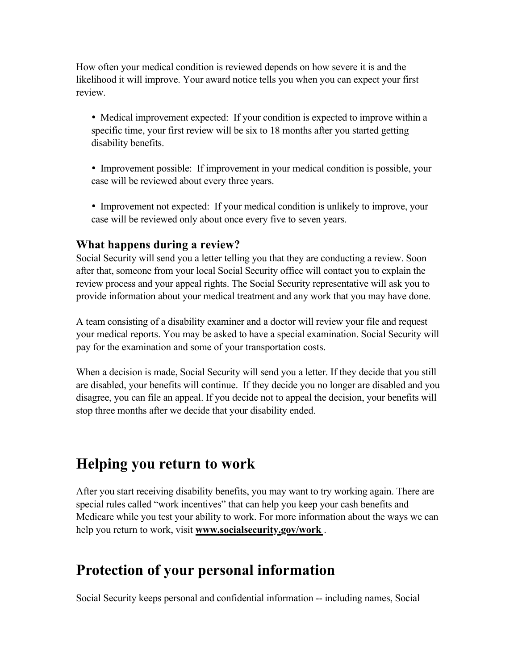How often your medical condition is reviewed depends on how severe it is and the likelihood it will improve. Your award notice tells you when you can expect your first review.

• Medical improvement expected: If your condition is expected to improve within a specific time, your first review will be six to 18 months after you started getting disability benefits.

 Improvement possible: If improvement in your medical condition is possible, your case will be reviewed about every three years.

 Improvement not expected: If your medical condition is unlikely to improve, your case will be reviewed only about once every five to seven years.

### **What happens during a review?**

Social Security will send you a letter telling you that they are conducting a review. Soon after that, someone from your local Social Security office will contact you to explain the review process and your appeal rights. The Social Security representative will ask you to provide information about your medical treatment and any work that you may have done.

A team consisting of a disability examiner and a doctor will review your file and request your medical reports. You may be asked to have a special examination. Social Security will pay for the examination and some of your transportation costs.

When a decision is made, Social Security will send you a letter. If they decide that you still are disabled, your benefits will continue. If they decide you no longer are disabled and you disagree, you can file an appeal. If you decide not to appeal the decision, your benefits will stop three months after we decide that your disability ended.

## **Helping you return to work**

After you start receiving disability benefits, you may want to try working again. There are special rules called "work incentives" that can help you keep your cash benefits and Medicare while you test your ability to work. For more information about the ways we can help you return to work, visit **www.socialsecurity.gov/work** .

## **Protection of your personal information**

Social Security keeps personal and confidential information -- including names, Social